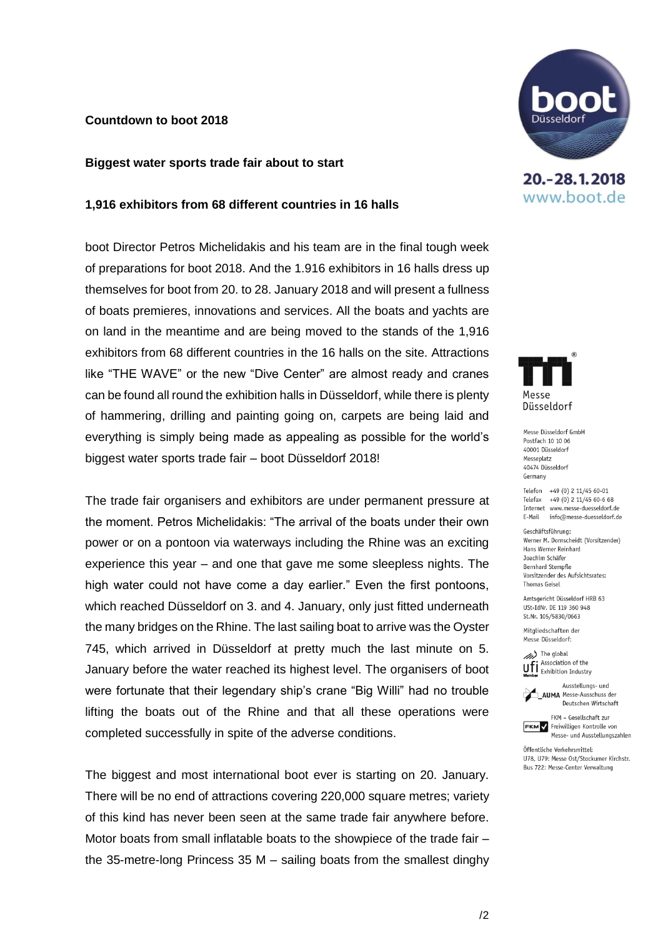## **Countdown to boot 2018**

#### **Biggest water sports trade fair about to start**

#### **1,916 exhibitors from 68 different countries in 16 halls**

boot Director Petros Michelidakis and his team are in the final tough week of preparations for boot 2018. And the 1.916 exhibitors in 16 halls dress up themselves for boot from 20. to 28. January 2018 and will present a fullness of boats premieres, innovations and services. All the boats and yachts are on land in the meantime and are being moved to the stands of the 1,916 exhibitors from 68 different countries in the 16 halls on the site. Attractions like "THE WAVE" or the new "Dive Center" are almost ready and cranes can be found all round the exhibition halls in Düsseldorf, while there is plenty of hammering, drilling and painting going on, carpets are being laid and everything is simply being made as appealing as possible for the world's biggest water sports trade fair – boot Düsseldorf 2018!

The trade fair organisers and exhibitors are under permanent pressure at the moment. Petros Michelidakis: "The arrival of the boats under their own power or on a pontoon via waterways including the Rhine was an exciting experience this year – and one that gave me some sleepless nights. The high water could not have come a day earlier." Even the first pontoons, which reached Düsseldorf on 3. and 4. January, only just fitted underneath the many bridges on the Rhine. The last sailing boat to arrive was the Oyster 745, which arrived in Düsseldorf at pretty much the last minute on 5. January before the water reached its highest level. The organisers of boot were fortunate that their legendary ship's crane "Big Willi" had no trouble lifting the boats out of the Rhine and that all these operations were completed successfully in spite of the adverse conditions.

The biggest and most international boot ever is starting on 20. January. There will be no end of attractions covering 220,000 square metres; variety of this kind has never been seen at the same trade fair anywhere before. Motor boats from small inflatable boats to the showpiece of the trade fair – the 35-metre-long Princess 35 M – sailing boats from the smallest dinghy



20. - 28. 1. 2018 www.boot.de



Messe Düsseldorf GmbH Postfach 10 10 06 40001 Diisseldorf Messeplatz 40474 Diisseldorf Germany

Telefon +49 (0) 2 11/45 60-01 Telefax +49 (0) 2 11/45 60-6 68 Internet www.messe-duesseldorf.de E-Mail info@messe-duesseldorf.de

Geschäftsführung: Werner M. Dornscheidt (Vorsitzender) Hans Werner Reinhard Joachim Schäfer **Bernhard Stempfle** Vorsitzender des Aufsichtsrates: **Thomas Geisel** 

Amtsgericht Düsseldorf HRB 63 USt-IdNr. DE 119 360 948 St.Nr. 105/5830/0663

Mitgliedschaften der Messe Düsseldorf:

(//// The global Association of the **UFI** Association of the<br>**Member** Exhibition Industry

Ausstellungs- und **AUMA** Messe-Ausschuss der Deutschen Wirtschaft

FKM - Gesellschaft zur **FKM** / Freiwilligen Kontrolle von Messe- und Ausstellungszahlen

Öffentliche Verkehrsmittel: U78, U79: Messe Ost/Stockumer Kirchstr. Bus 722: Messe-Center Verwaltung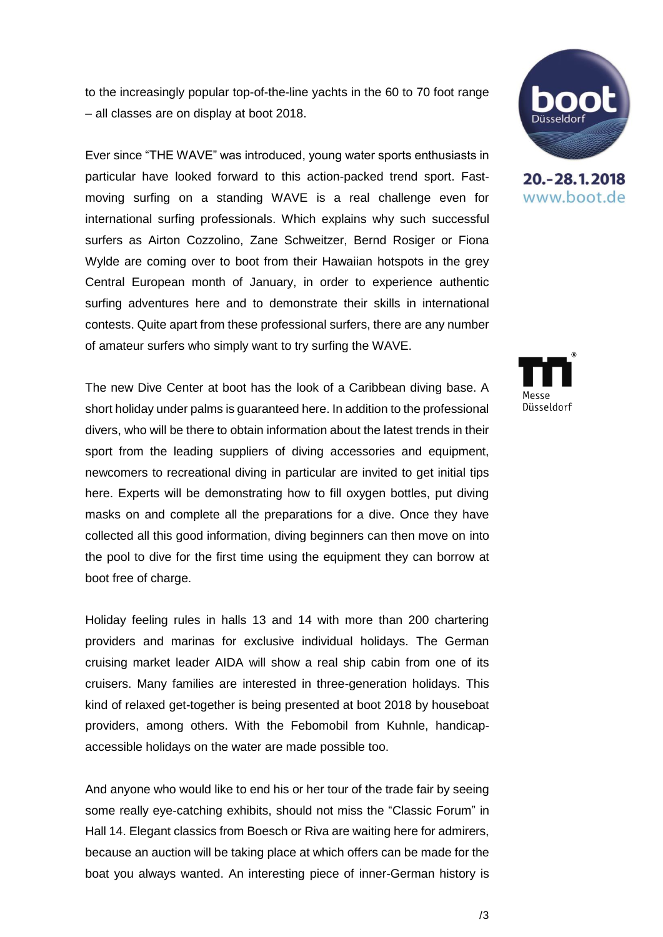to the increasingly popular top-of-the-line yachts in the 60 to 70 foot range – all classes are on display at boot 2018.

Ever since "THE WAVE" was introduced, young water sports enthusiasts in particular have looked forward to this action-packed trend sport. Fastmoving surfing on a standing WAVE is a real challenge even for international surfing professionals. Which explains why such successful surfers as Airton Cozzolino, Zane Schweitzer, Bernd Rosiger or Fiona Wylde are coming over to boot from their Hawaiian hotspots in the grey Central European month of January, in order to experience authentic surfing adventures here and to demonstrate their skills in international contests. Quite apart from these professional surfers, there are any number of amateur surfers who simply want to try surfing the WAVE.

The new Dive Center at boot has the look of a Caribbean diving base. A short holiday under palms is guaranteed here. In addition to the professional divers, who will be there to obtain information about the latest trends in their sport from the leading suppliers of diving accessories and equipment, newcomers to recreational diving in particular are invited to get initial tips here. Experts will be demonstrating how to fill oxygen bottles, put diving masks on and complete all the preparations for a dive. Once they have collected all this good information, diving beginners can then move on into the pool to dive for the first time using the equipment they can borrow at boot free of charge.

Holiday feeling rules in halls 13 and 14 with more than 200 chartering providers and marinas for exclusive individual holidays. The German cruising market leader AIDA will show a real ship cabin from one of its cruisers. Many families are interested in three-generation holidays. This kind of relaxed get-together is being presented at boot 2018 by houseboat providers, among others. With the Febomobil from Kuhnle, handicapaccessible holidays on the water are made possible too.

And anyone who would like to end his or her tour of the trade fair by seeing some really eye-catching exhibits, should not miss the "Classic Forum" in Hall 14. Elegant classics from Boesch or Riva are waiting here for admirers, because an auction will be taking place at which offers can be made for the boat you always wanted. An interesting piece of inner-German history is



20. - 28. 1. 2018 www.boot.de